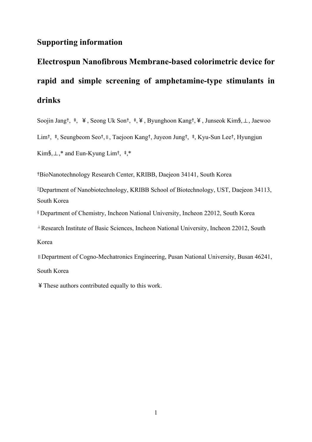## **Supporting information**

## **Electrospun Nanofibrous Membrane-based colorimetric device for rapid and simple screening of amphetamine-type stimulants in drinks**

Soojin Jang†, ‡, ¥, Seong Uk Son†, ‡,¥, Byunghoon Kang†,¥, Junseok Kim§,⊥, Jaewoo

Lim†, ‡, Seungbeom Seo†,∥, Taejoon Kang†, Juyeon Jung†, ‡, Kyu-Sun Lee†, Hyungjun

Kim§,⊥,\* and Eun-Kyung Lim†, ‡,\*

†BioNanotechnology Research Center, KRIBB, Daejeon 34141, South Korea

‡Department of Nanobiotechnology, KRIBB School of Biotechnology, UST, Daejeon 34113, South Korea

§ Department of Chemistry, Incheon National University, Incheon 22012, South Korea

<sup>⊥</sup>Research Institute of Basic Sciences, Incheon National University, Incheon 22012, South Korea

∥Department of Cogno-Mechatronics Engineering, Pusan National University, Busan 46241, South Korea

¥These authors contributed equally to this work.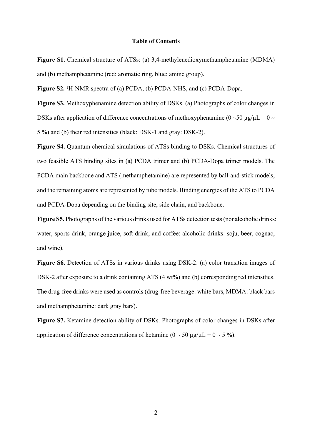## **Table of Contents**

**Figure S1.** Chemical structure of ATSs: (a) 3,4-methylenedioxymethamphetamine (MDMA) and (b) methamphetamine (red: aromatic ring, blue: amine group).

**Figure S2.** <sup>1</sup>H-NMR spectra of (a) PCDA, (b) PCDA-NHS, and (c) PCDA-Dopa.

**Figure S3.** Methoxyphenamine detection ability of DSKs. (a) Photographs of color changes in DSKs after application of difference concentrations of methoxyphenamine ( $0 \sim 50 \mu g/\mu L = 0 \sim$ 5 %) and (b) their red intensities (black: DSK-1 and gray: DSK-2).

Figure S4. Ouantum chemical simulations of ATSs binding to DSKs. Chemical structures of two feasible ATS binding sites in (a) PCDA trimer and (b) PCDA-Dopa trimer models. The PCDA main backbone and ATS (methamphetamine) are represented by ball-and-stick models, and the remaining atoms are represented by tube models. Binding energies of the ATS to PCDA and PCDA-Dopa depending on the binding site, side chain, and backbone.

**Figure S5.** Photographs of the various drinks used for ATSs detection tests (nonalcoholic drinks: water, sports drink, orange juice, soft drink, and coffee; alcoholic drinks: soju, beer, cognac, and wine).

Figure S6. Detection of ATSs in various drinks using DSK-2: (a) color transition images of DSK-2 after exposure to a drink containing ATS (4 wt%) and (b) corresponding red intensities. The drug-free drinks were used as controls (drug-free beverage: white bars, MDMA: black bars and methamphetamine: dark gray bars).

**Figure S7.** Ketamine detection ability of DSKs. Photographs of color changes in DSKs after application of difference concentrations of ketamine ( $0 \sim 50 \text{ µg/µL} = 0 \sim 5 \%$ ).

2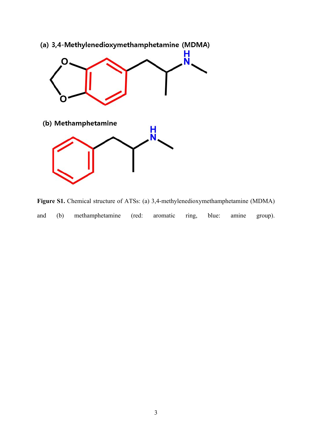

Figure S1. Chemical structure of ATSs: (a) 3,4-methylenedioxymethamphetamine (MDMA) and (b) methamphetamine (red: aromatic ring, blue: amine group).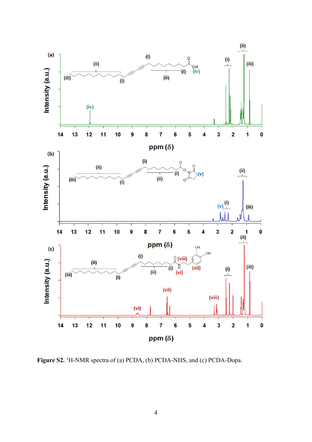

Figure S2. <sup>1</sup>H-NMR spectra of (a) PCDA, (b) PCDA-NHS, and (c) PCDA-Dopa.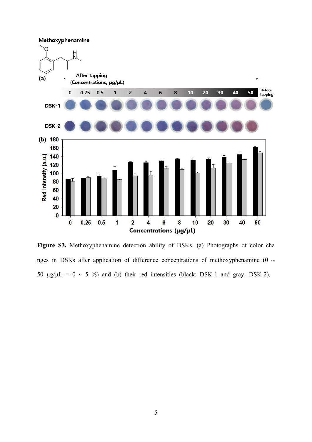

**Figure S3.** Methoxyphenamine detection ability of DSKs. (a) Photographs of color cha nges in DSKs after application of difference concentrations of methoxyphenamine (0  $\sim$ 50  $\mu$ g/ $\mu$ L = 0 ~ 5 %) and (b) their red intensities (black: DSK-1 and gray: DSK-2).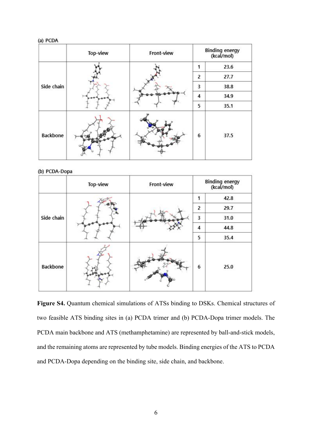| (a) PCDA |
|----------|
|          |

|            | Top-view | Front-view |   | <b>Binding energy</b><br>(kcal/mol) |  |
|------------|----------|------------|---|-------------------------------------|--|
|            |          |            |   | 23.6                                |  |
| Side chain |          |            | 2 | 27.7                                |  |
|            |          |            | 3 | 38.8                                |  |
|            |          |            | 4 | 34.9                                |  |
|            |          |            | 5 | 35.1                                |  |
| Backbone   |          |            | 6 | 37.5                                |  |

## (b) PCDA-Dopa

|            | Top-view | Front-view | <b>Binding energy</b><br>(kcal/mol) |      |
|------------|----------|------------|-------------------------------------|------|
|            |          |            | 1                                   | 42.8 |
| Side chain |          |            | 2                                   | 29.7 |
|            |          |            | $\overline{\mathbf{3}}$             | 31.0 |
|            |          |            | $\overline{\mathbf{4}}$             | 44.8 |
|            |          |            | 5                                   | 35.4 |
| Backbone   |          |            | 6                                   | 25.0 |

**Figure S4.** Quantum chemical simulations of ATSs binding to DSKs. Chemical structures of two feasible ATS binding sites in (a) PCDA trimer and (b) PCDA-Dopa trimer models. The PCDA main backbone and ATS (methamphetamine) are represented by ball-and-stick models, and the remaining atoms are represented by tube models. Binding energies of the ATS to PCDA and PCDA-Dopa depending on the binding site, side chain, and backbone.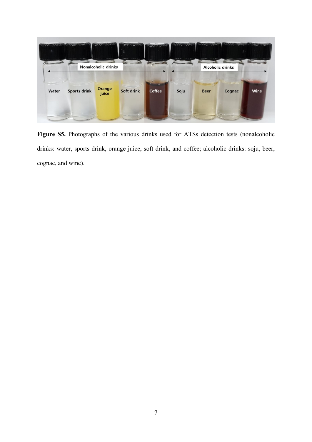

Figure S5. Photographs of the various drinks used for ATSs detection tests (nonalcoholic drinks: water, sports drink, orange juice, soft drink, and coffee; alcoholic drinks: soju, beer, cognac, and wine).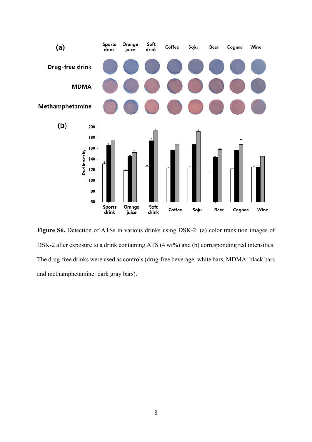

Figure S6. Detection of ATSs in various drinks using DSK-2: (a) color transition images of DSK-2 after exposure to a drink containing ATS (4 wt%) and (b) corresponding red intensities. The drug-free drinks were used as controls (drug-free beverage: white bars, MDMA: black bars and methamphetamine: dark gray bars).